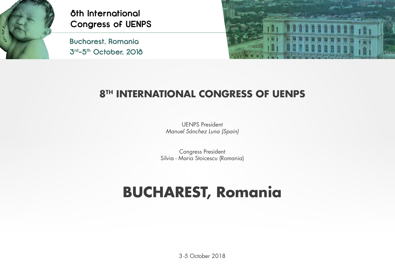

**Bucharest, Romania 3rd-5th October, 2018**



#### **8TH INTERNATIONAL CONGRESS OF UENPS**

UENPS President Manuel Sánchez Luna (Spain)

Congress President Silvia - Maria Stoicescu (Romania)

# **BUCHAREST, Romania**

3 -5 October 2018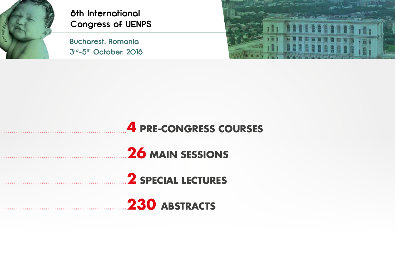

**Bucharest, Romania 3rd-5th October, 2018**



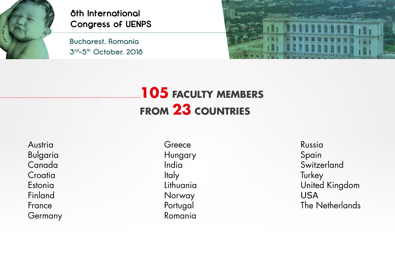

**3th International<br>Congress of UENI<br>Bucharest, Romania<br>3<sup>rd</sup>-5<sup>th</sup> October, 2018 Congress of UENPS**

**Bucharest, Romania**



## **105 FACULTY MEMBERS FROM 23 COUNTRIES**

Austria Bulgaria Canada **Croatia** Estonia Finland France Germany

**Greece** Hungary India **Italy** Lithuania Norway Portugal Romania

Russia Spain **Switzerland Turkey** United Kingdom USA The Netherlands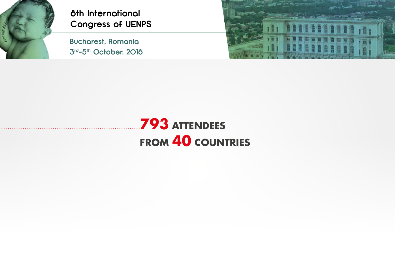

**Bucharest, Romania 3rd-5th October, 2018**



## **793 ATTENDEES FROM 40 COUNTRIES**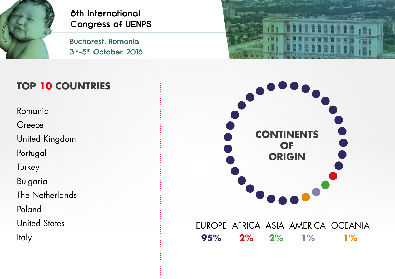

**Bucharest, Romania 3rd-5th October, 2018**



#### **TOP 10 COUNTRIES**

Romania

**Greece** 

United Kingdom

Portugal

**Turkey** 

Bulgaria

The Netherlands

Poland

United States

Italy



#### EUROPE AFRICA ASIA AMERICA OCEANIA **95% 2% 2% 1% 1%**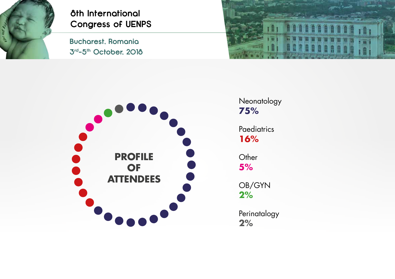

# **3th International<br>Congress of UENI<br>Bucharest, Romania<br>3<sup>rd</sup>-5<sup>th</sup> October, 2018 Congress of UENPS**

**Bucharest, Romania**





Neonatology **75%**

**Paediatrics 16%**

**Other 5%**

OB/GYN **2%**

Perinatalogy **2%**